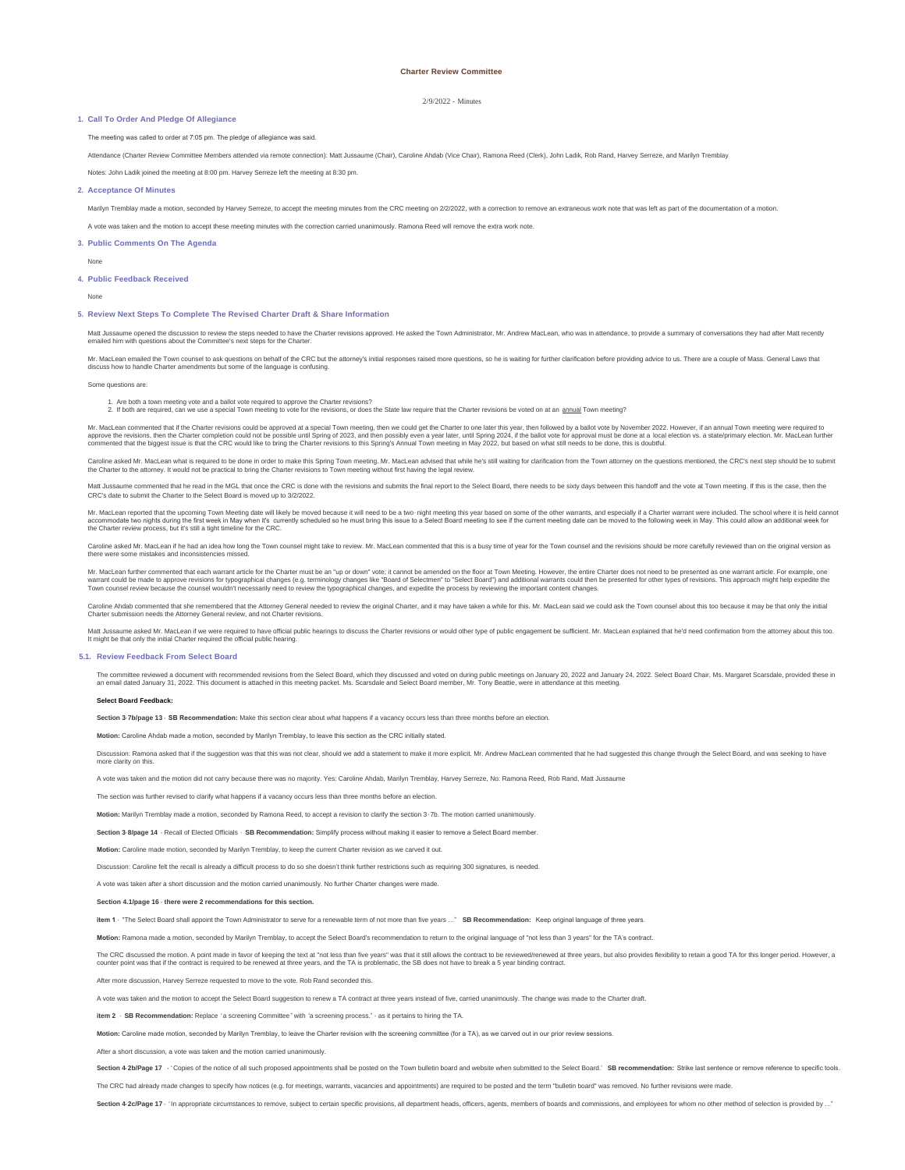## 2/9/2022 - Minutes

#### **Call To Order And Pledge Of Allegiance 1.**

The meeting was called to order at 7:05 pm. The pledge of allegiance was said.

Attendance (Charter Review Committee Members attended via remote connection): Matt Jussaume (Chair), Caroline Ahdab (Vice Chair), Ramona Reed (Clerk), John Ladik, Rob Rand, Harvey Serreze, and Marilyn Tremblay

Notes: John Ladik joined the meeting at 8:00 pm. Harvey Serreze left the meeting at 8:30 pm.

#### **Acceptance Of Minutes 2.**

Marilyn Tremblay made a motion, seconded by Harvey Serreze, to accept the meeting minutes from the CRC meeting on 2/2/2022, with a correction to remove an extraneous work note that was left as part of the documentation of

A vote was taken and the motion to accept these meeting minutes with the correction carried unanimously. Ramona Reed will remove the extra work note.

**Public Comments On The Agenda 3.**

None

#### **Public Feedback Received 4.**

None

### **Review Next Steps To Complete The Revised Charter Draft & Share Information 5.**

Matt Jussaume opened the discussion to review the steps needed to have the Charter revisions approved. He asked the Town Administrator. Mr. Andrew Maclean, who was in attendance, to provide a summary of conversations they emailed him with questions about the Committee's next steps for the Charter.

Mr. MacLean emailed the Town counsel to ask questions on behalf of the CRC but the attorney's initial responses raised more questions, so he is waiting for further darification before providing advice to us. There are a co

Some questions are:

1. Are both a town meeting vote and a ballot vote required to approve the Charter revisions?<br>2. If both are required, can we use a special Town meeting to vote for the revisions, or does the State law require that the Char

Mr. Mad.ean commented that if the Charter revisions could be approved at a special Town meeting, then we could get the Charter to one later this year, then followed by a ballot vote by November 2022. However, if an annual

ne asked Mr. MacLean what is required to be done in order to make this Spring Town meeting. Mr. MacLean advised that while he's still waiting for darification from the Town attorney on the questions mentioned, the CRC's ne the Charter to the attorney. It would not be practical to bring the Charter revisions to Town meeting without first having the legal review.

Matt Jussaume commented that he read in the MGI that once the CRC is done with the revisions and submits the final report to the Select Board, there needs to be sixty days between this handoff and the yote at Town meeting. CRC's date to submit the Charter to the Select Board is moved up to 3/2/2022.

Mr. MacLean reported that the upcoming Town Meeting date will likely be moved because it will need to be a two -night meeting this year based on some of the other warrants, and especially if a Charter warrant were included

Caroline asked Mr. MacLan if he had an low long the Town counsel might take to review. Mr. MacLean commented that this is a busy time of year for the Town counsel and the revisions should be more carefully reviewed than on

Mr. MacLean further commented that each warrant article for the Charter must be an "up or down" vote; it cannot be amended on the floor at Town Meeting. However, the entire Charter does not need to be presented as one warr

Caroline Ahdab commented that she remembered that the Attorney General needed to review the original Charter, and it may have taken a while for this. Mr. MacLean said we could ask the Town counsel about this too because it

Mat Jussaume asket Mr. MacLean if we were required to have official public hearings to discuss the Charter revisions or would other type of public engagement be sufficient. Mr. MacLean explained that he'd need confirmation

#### **Review Feedback From Select Board 5.1.**

The committee reviewed adocument with recommended revisions from the Select Board, which they discussed and voted on during public meetings on January 20, 2022. Select Board Chair, Ms. Margaret Scarsdale, provided these in

## **Select Board Feedback:**

**ection 3-7b/page 13 - SB Recommendation:** Make this section clear about what happens if a vacancy occurs less than three months before an el

**Motion:** Caroline Ahdab made a motion, seconded by Marilyn Tremblay, to leave this section as the CRC initially stated.

Discussion: Ramona asked that if the suggestion was that this was not clear, should we add a statement to make it more explicit. Mr. Andrew MacLean commented that he had suggested this change through the Select Board, and

A vote was taken and the motion did not carry because there was no majority. Yes: Caroline Ahdab, Marilyn Tremblay, Harvey Serreze, No: Ramona Reed, Rob Rand, Matt Jussaume

The section was further revised to clarify what happens if a vacancy occurs less than three months before an election.

**Motion:** Marilyn Tremblay made a motion, seconded by Ramona Reed, to accept a revision to clarify the section 3 - 7b. The motion carried unanimously.

**Section 3- 8/page 14 -** Recall of Elected Officials - **SB Recommendation:** Simplify process without making it easier to remove a Select Board member.

**Motion:** Caroline made motion, seconded by Marilyn Tremblay, to keep the current Charter revision as we carved it out.

n: Caroline felt the recall is already a difficult process to do so she doesn't think further restrictions such as requiring 300 signatures, is needed.

A vote was taken after a short discussion and the motion carried unanimously. No further Charter changes were made.

# **Section 4.1/page 16 - there were 2 recommendations for this section.**

**item 1** - "The Select Board shall appoint the Town Administrator to serve for a renewable term of not more than five years …" **SB Recommendation:** Keep original language of three years.

**Motion:** Ramona made a motion, seconded by Marilyn Tremblay, to accept the Select Board's recommendation to return to the original language of "not less than 3 years" for the TA's contract.

The CRC discussed the motion. A point made in favor of keeping the text at "not less than five years" was that istill allows the contract to be reviewed/renewed at three years, and the TA is problematic, the SB does not ha

After more discussion, Harvey Serreze requested to move to the vote. Rob Rand seconded this.

A vote was taken and the motion to accept the Select Board suggestion to renew a TA contract at three years instead of five, carried unanimously. The change was made to the Charter draft.

**item 2** - **SB Recommendation:** Replace "a screening Committee" with "a screening process." - as it pertains to hiring the TA.

Motion: Caroline made motion, seconded by Marilyn Tremblay, to leave the Charter revision with the screening committee (for a TA), as we carved out in our prior review sessions

After a short discussion, a vote was taken and the motion carried unanimously.

Section 4-2b/Page 17 - 'Copies of the notice of all such proposed appointments shall be posted on the Town bulletin board and website when submitted to the Select Board.' SB recommendation: Strike last sentence or remove r

The CRC had already made changes to specify how notices (e.g. for meetings, warrants, vacancies and appointments) are required to be posted and the term "bulletin board" was removed. No further revisions were made.

Section 4-2c/Page 17 · 'In appropriate circumstances to remove, subject to certain specific provisions, all department heads, officers, agents, members of boards and commissions, and employees for whom no other method of s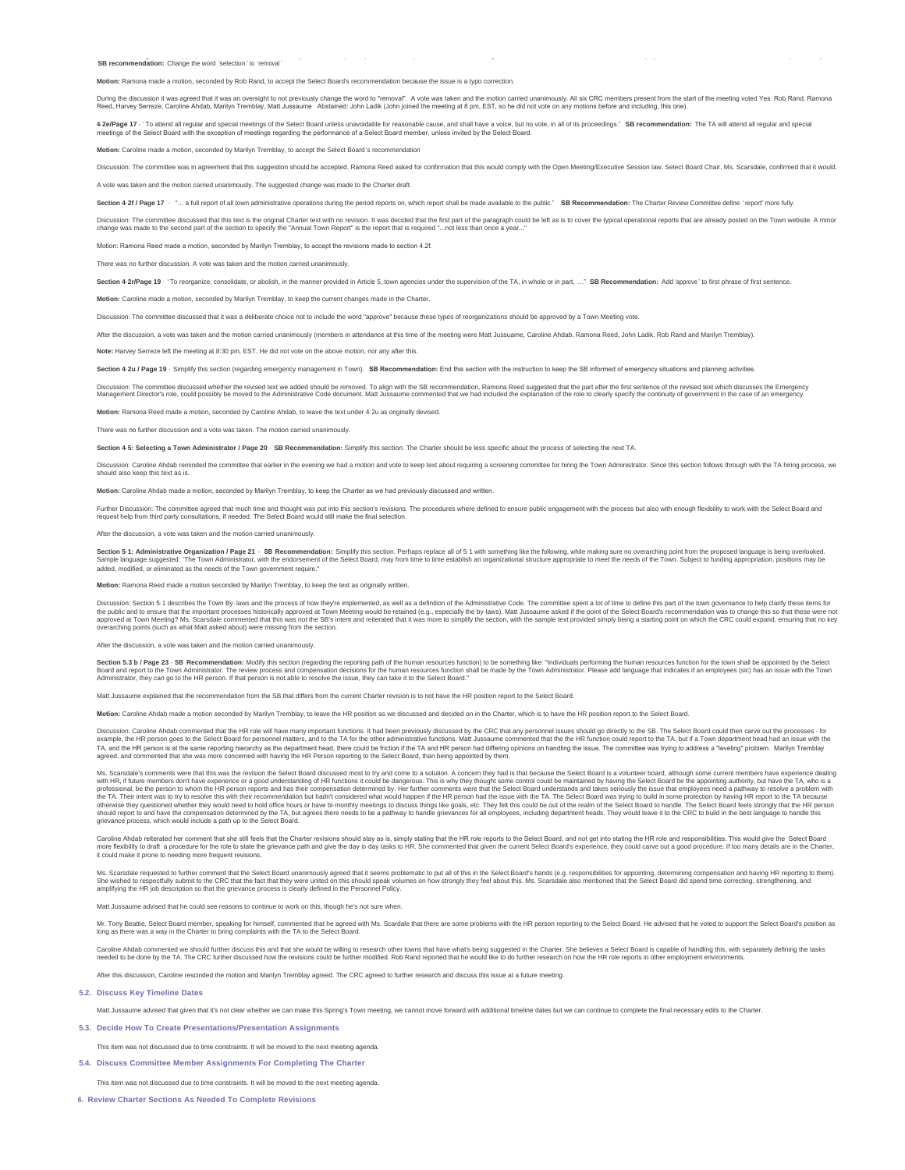SB recommendation: Change the word 'selection' to 'removal' and the control of the commentation: Change the word 'selection' to 'removal'

**Motion:** Ramona made a motion, seconded by Rob Rand, to accept the Select Board's recommendation because the issue is a typo correction.

During the discussion it was agneed that it was an oversight to not previously change the word to "removal". A vote was taken and the motion carried unanimously. All six CRC members present from the start of the meethy and

4-2e/Page 17 · 'To attend all regular and special meetings of the Select Board unless unavoidable for reasonable cause, and shall have a voice, but no vote, in all of its proceedings." SB recommendation: The TA will attend meetings of the Select Board with the exception of meetings regarding the performance of a Select Board member, unless invited by the Select Board.

**Motion:** Caroline made a motion, seconded by Marilyn Tremblay, to accept the Select Board 's recommendation

Discussion: The committee was in agreement that this suggestion should be accepted. Ramona Reed asked for confirmation that this would comply with the Open Meeting/Executive Session law. Select Board Chair, Ms. Scarsdale,

A vote was taken and the motion carried unanimously. The suggested change was made to the Charter draft.

Section 4-2f / Page 17 . "... a full report of all town administrative operations during the period reports on, which report shall be made available to the public." SB Recommendation: The Charter Review Committee define 'r

Discussion: The committee discussed that this text is the original Charter text with no revision. It was decided that the first part of the fact aptropholomethes is to cover the typical operational reports that are already

Motion: Ramona Reed made a motion, seconded by Marilyn Tremblay, to accept the revisions made to section 4.2f.

There was no further discussion. A vote was taken and the motion carried unanimously.

Section 4-2r/Page 19 · 'To reorganize, consolidate, or abolish, in the manner provided in Article 5, town agencies under the supervision of the TA, in whole or in part....." SB Recommendation: Add 'approve' to first phrase

**Motion:** Caroline made a motion, seconded by Marilyn Tremblay, to keep the current changes made in the Charter.

Discussion: The committee discussed that it was a deliberate choice not to include the word "approve" because these types of reorganizations should be approved by a Town Meeting vote.

After the discussion, a vote was taken and the motion carried unanimously (members in attendance at this time of the meeting were Matt Jussuame, Caroline Ahdab, Ramona Reed, John Ladik, Rob Rand and Marilyn Tremblay).

**N** Serreze left the meeting at 8:30 pm, EST. He did not vote on the above motion, nor any afte

Section 4-2u / Page 19 · Simplify this section (regarding emergency management in Town). SB Recommendation: Fnd this section with the instruction to keep the SB informed of emergency situations and planning activities

Discussion: The committee discussed whether the evised text we added should be removed. To align with the SB recommendation, Ramona Reed suggested that the part after the first sentence of the role. To have been premoved t

**Motion:** Ramona Reed made a motion, seconded by Caroline Ahdab, to leave the text under 4-2u as originally devised.

There was no further discussion and a vote was taken. The motion carried unanimously.

**Section 4- 5: Selecting a Town Administrator / Page 20** - **SB Recommendation:** Simplify this section. The Charter should be less specific about the process of selecting the next TA.

Discussion: Caroline Ahdab reminded the committee that earlier in the evening we had a motion and vote to keep text about requiring a screening committee for hiring the Town Administrator. Since this section follows throug

**Motion:** Caroline Ahdab made a motion, seconded by Marilyn Tremblay, to keep the Charter as we had previously discussed and written.

Further Discussion. The committee agreed that much time and thought was put into this section's revisions. The procedures where defined to ensure public engagement with the process but also with enough flexibility to work

After the discussion, a vote was taken and the motion carried unanimously.

Section 5-1: Administrative Organization / Page 21 · SB Recommendation: Simplity this section. Perhas replace all of 5-1 with something like the following, while making sure no overarching point form the possions may be e Sample language suggested: The Town Administrator, with the endorsement added, modified, or eliminated as the needs of the Town government require."

**Motion seconded by Marilyn Tremblay, to keep the text as originally v** 

Discussion: Section 5-1 describes the Town By laws and the process of how they're implemented, as well as a definition of the Administrative Code. The commentlee spent a lot dime to define this part of the Select Boards re

After the discussion, a vote was taken and the motion carried unanimously.

Section 5.3 b / Page 23 - SB Recommendation: Modify this section (regarding the reporting path of the human resources function) to be something like: "Individuals performing the human resources function for the town shall

Matt Jussaume explained that the recommendation from the SB that differs from the current Charter revision is to not have the HR position report to the Select Board.

**Motion:** Caroline Ahdab made a motion seconded by Marilyn Tremblay, to leave the HR position as we discussed and decided on in the Charter, which is to have the HR position report to the Select Board.

Discussion: Caroline Ahdab commented that held Will have many important functions. It had been previously discussed by the CRC that any personnel issues should go directly to the SB. Phe Select Board could report to the TA TA, and the HR person is at the same reporting hierarchy as the department head, there could be friction if the TA and HR person had differing opinions on handling the issue. The committee was trying to address a "leveling

Ms. Scarsdale's comments were that this was the revision the Select Board discussed most to try and come to solve the submome that be advertised by the most of the submoment with HR, if future members don't have the experi otherwise they questioned whether they would need to hold office hours or have bi-monthly meetings to discuss things like goals, etc. They felt this could be out of the realm of the Select Board to handle. The Select Board

Caroline Andab relierated her comment that she still feels that the Charler revisions should stay as is, simply straing that the Frie releast the Select Board, and not oper in the Charler strained that she commented that g it could make it prone to needing more frequent revisions.

Ms. Scarsdale requested to further comment that the Select Board unanimously agreed that it seems problematic to put all of this in the Select Board's hands (e.g. responsibilities for appointing, determining compensation a

Matt Jussaume advised that he could see reasons to continue to work on this, though he's not sure when

Mr. Tony Beatle, Select Board member, speaking for himself, commented that he eagreed with Ms. Scardale that there are some problems with the HR person reporting to the Select Board. He advised that he voted to support the

Caroline Ahdab commented we should further discuss this and that she would be willing to research other towns that have what's being sugested in the Charter. She believes a Select Board is capable of handien modies to a fu

sion, Caroline rescinded the motion and Marilyn Tremblay agreed. The CRC agreed to further research and discuss this issue at a future meeting

#### **Discuss Key Timeline Dates 5.2.**

Matt Jussaume advised that given that it's not clear whether we can make this Spring's Town meeting, we cannot move forward with additional timeline dates but we can continue to complete the final necessary edits to the Ch

**Decide How To Create Presentations/Presentation Assignments 5.3.**

# This item was not discussed due to time constraints. It will be moved to the next meeting agenda.

**Discuss Committee Member Assignments For Completing The Charter 5.4.**

This item was not discussed due to time constraints. It will be moved to the next meeting agenda.

**Review Charter Sections As Needed To Complete Revisions 6.**